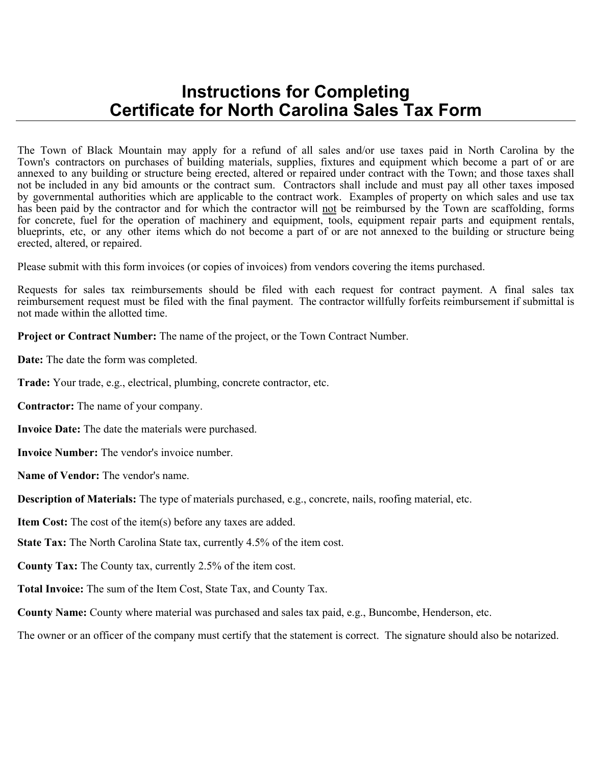## **Instructions for Completing Certificate for North Carolina Sales Tax Form**

The Town of Black Mountain may apply for a refund of all sales and/or use taxes paid in North Carolina by the Town's contractors on purchases of building materials, supplies, fixtures and equipment which become a part of or are annexed to any building or structure being erected, altered or repaired under contract with the Town; and those taxes shall not be included in any bid amounts or the contract sum. Contractors shall include and must pay all other taxes imposed by governmental authorities which are applicable to the contract work. Examples of property on which sales and use tax has been paid by the contractor and for which the contractor will not be reimbursed by the Town are scaffolding, forms for concrete, fuel for the operation of machinery and equipment, tools, equipment repair parts and equipment rentals, blueprints, etc, or any other items which do not become a part of or are not annexed to the building or structure being erected, altered, or repaired.

Please submit with this form invoices (or copies of invoices) from vendors covering the items purchased.

Requests for sales tax reimbursements should be filed with each request for contract payment. A final sales tax reimbursement request must be filed with the final payment. The contractor willfully forfeits reimbursement if submittal is not made within the allotted time.

**Project or Contract Number:** The name of the project, or the Town Contract Number.

**Date:** The date the form was completed.

**Trade:** Your trade, e.g., electrical, plumbing, concrete contractor, etc.

**Contractor:** The name of your company.

**Invoice Date:** The date the materials were purchased.

**Invoice Number:** The vendor's invoice number.

**Name of Vendor:** The vendor's name.

**Description of Materials:** The type of materials purchased, e.g., concrete, nails, roofing material, etc.

**Item Cost:** The cost of the item(s) before any taxes are added.

**State Tax:** The North Carolina State tax, currently 4.5% of the item cost.

**County Tax:** The County tax, currently 2.5% of the item cost.

**Total Invoice:** The sum of the Item Cost, State Tax, and County Tax.

**County Name:** County where material was purchased and sales tax paid, e.g., Buncombe, Henderson, etc.

The owner or an officer of the company must certify that the statement is correct. The signature should also be notarized.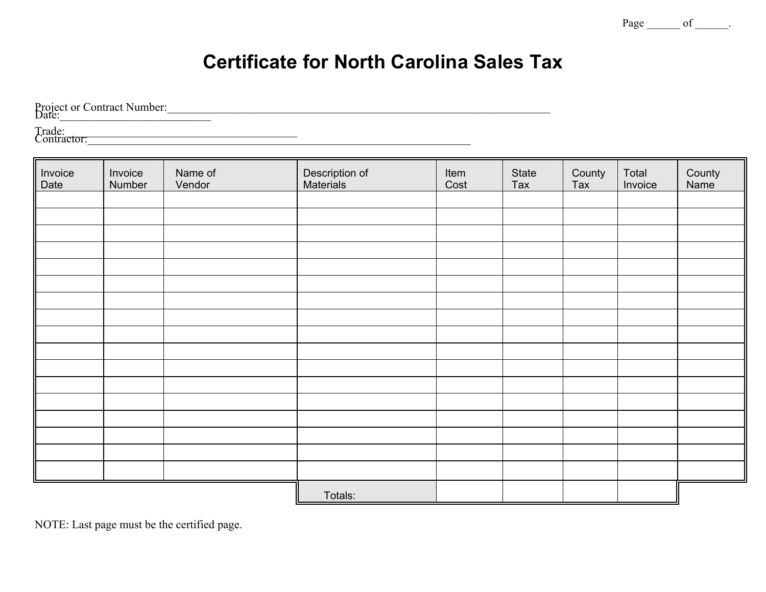Page <u>\_\_\_\_\_\_</u> of \_\_\_\_\_.

## **Certificate for North Carolina Sales Tax**

Project or Contract Number:\_\_\_\_\_\_\_\_\_\_\_\_\_\_\_\_\_\_\_\_\_\_\_\_\_\_\_\_\_\_\_\_\_\_\_\_\_\_\_\_\_\_\_\_\_\_\_\_\_\_\_\_\_\_\_\_\_\_\_\_\_\_\_\_\_\_ Date:\_\_\_\_\_\_\_\_\_\_\_\_\_\_\_\_\_\_\_\_\_\_\_\_\_\_

Trade:\_\_\_\_\_\_\_\_\_\_\_\_\_\_\_\_\_\_\_\_\_\_\_\_\_\_\_\_\_\_\_\_\_\_\_\_\_\_\_\_ Contractor:\_\_\_\_\_\_\_\_\_\_\_\_\_\_\_\_\_\_\_\_\_\_\_\_\_\_\_\_\_\_\_\_\_\_\_\_\_\_\_\_\_\_\_\_\_\_\_\_\_\_\_\_\_\_\_\_\_\_\_\_\_\_\_\_\_\_

| Invoice<br>Date | Invoice<br>Number | Name of<br>Vendor | Description of<br>Materials | Item<br>Cost | State<br>Tax | County<br>Tax | Total<br>Invoice | County<br>Name |
|-----------------|-------------------|-------------------|-----------------------------|--------------|--------------|---------------|------------------|----------------|
|                 |                   |                   |                             |              |              |               |                  |                |
|                 |                   |                   |                             |              |              |               |                  |                |
|                 |                   |                   |                             |              |              |               |                  |                |
|                 |                   |                   |                             |              |              |               |                  |                |
|                 |                   |                   |                             |              |              |               |                  |                |
|                 |                   |                   |                             |              |              |               |                  |                |
|                 |                   |                   |                             |              |              |               |                  |                |
|                 |                   |                   |                             |              |              |               |                  |                |
|                 |                   |                   |                             |              |              |               |                  |                |
|                 |                   |                   |                             |              |              |               |                  |                |
|                 |                   |                   |                             |              |              |               |                  |                |
|                 |                   |                   |                             |              |              |               |                  |                |
|                 |                   |                   |                             |              |              |               |                  |                |
|                 |                   |                   |                             |              |              |               |                  |                |
|                 |                   |                   |                             |              |              |               |                  |                |
|                 |                   |                   |                             |              |              |               |                  |                |
|                 |                   |                   |                             |              |              |               |                  |                |
|                 |                   |                   | Totals:                     |              |              |               |                  |                |

NOTE: Last page must be the certified page.